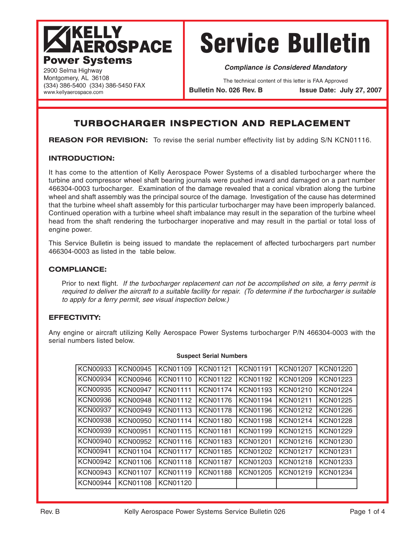## **KELLY AEROSPACE Power Systems**

(334) 386-5400 (334) 386-5450 FAX

# Service Bulletin

**Compliance is Considered Mandatory**

The technical content of this letter is FAA Approved

**Bulletin No. 026 Rev. B Issue Date: July 27, 2007**

### **TURBOCHARGER INSPECTION AND REPLACEMENT**

**REASON FOR REVISION:** To revise the serial number effectivity list by adding S/N KCN01116.

#### **INTRODUCTION:**

2900 Selma Highway Montgomery, AL 36108

www.kellyaerospace.com

It has come to the attention of Kelly Aerospace Power Systems of a disabled turbocharger where the turbine and compressor wheel shaft bearing journals were pushed inward and damaged on a part number 466304-0003 turbocharger. Examination of the damage revealed that a conical vibration along the turbine wheel and shaft assembly was the principal source of the damage. Investigation of the cause has determined that the turbine wheel shaft assembly for this particular turbocharger may have been improperly balanced. Continued operation with a turbine wheel shaft imbalance may result in the separation of the turbine wheel head from the shaft rendering the turbocharger inoperative and may result in the partial or total loss of engine power.

This Service Bulletin is being issued to mandate the replacement of affected turbochargers part number 466304-0003 as listed in the table below.

#### **COMPLIANCE:**

Prior to next flight. If the turbocharger replacement can not be accomplished on site, a ferry permit is required to deliver the aircraft to a suitable facility for repair. (To determine if the turbocharger is suitable to apply for a ferry permit, see visual inspection below.)

#### **EFFECTIVITY:**

Any engine or aircraft utilizing Kelly Aerospace Power Systems turbocharger P/N 466304-0003 with the serial numbers listed below.

| <b>KCN00933</b> | <b>KCN00945</b> | <b>KCN01109</b> | <b>KCN01121</b> | <b>KCN01191</b> | <b>KCN01207</b> | <b>KCN01220</b> |
|-----------------|-----------------|-----------------|-----------------|-----------------|-----------------|-----------------|
| <b>KCN00934</b> | <b>KCN00946</b> | <b>KCN01110</b> | <b>KCN01122</b> | <b>KCN01192</b> | <b>KCN01209</b> | <b>KCN01223</b> |
| <b>KCN00935</b> | <b>KCN00947</b> | <b>KCN01111</b> | <b>KCN01174</b> | <b>KCN01193</b> | <b>KCN01210</b> | <b>KCN01224</b> |
| <b>KCN00936</b> | <b>KCN00948</b> | <b>KCN01112</b> | <b>KCN01176</b> | <b>KCN01194</b> | <b>KCN01211</b> | <b>KCN01225</b> |
| <b>KCN00937</b> | <b>KCN00949</b> | <b>KCN01113</b> | <b>KCN01178</b> | <b>KCN01196</b> | <b>KCN01212</b> | <b>KCN01226</b> |
| <b>KCN00938</b> | <b>KCN00950</b> | <b>KCN01114</b> | <b>KCN01180</b> | <b>KCN01198</b> | <b>KCN01214</b> | <b>KCN01228</b> |
| <b>KCN00939</b> | <b>KCN00951</b> | <b>KCN01115</b> | <b>KCN01181</b> | <b>KCN01199</b> | <b>KCN01215</b> | <b>KCN01229</b> |
| <b>KCN00940</b> | <b>KCN00952</b> | <b>KCN01116</b> | <b>KCN01183</b> | <b>KCN01201</b> | <b>KCN01216</b> | <b>KCN01230</b> |
| <b>KCN00941</b> | <b>KCN01104</b> | <b>KCN01117</b> | <b>KCN01185</b> | <b>KCN01202</b> | <b>KCN01217</b> | <b>KCN01231</b> |
| <b>KCN00942</b> | <b>KCN01106</b> | <b>KCN01118</b> | <b>KCN01187</b> | <b>KCN01203</b> | <b>KCN01218</b> | <b>KCN01233</b> |
| <b>KCN00943</b> | <b>KCN01107</b> | <b>KCN01119</b> | <b>KCN01188</b> | <b>KCN01205</b> | <b>KCN01219</b> | <b>KCN01234</b> |
| <b>KCN00944</b> | <b>KCN01108</b> | <b>KCN01120</b> |                 |                 |                 |                 |
|                 |                 |                 |                 |                 |                 |                 |

#### **Suspect Serial Numbers**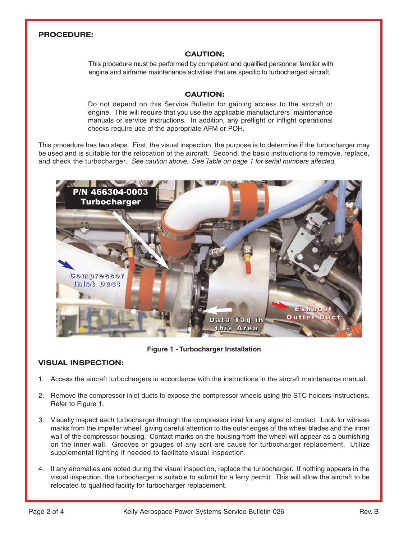#### **PROCEDURE:**

#### **CAUTION:**

This procedure must be performed by competent and qualified personnel familiar with engine and airframe maintenance activities that are specific to turbocharged aircraft.

#### **CAUTION:**

Do not depend on this Service Bulletin for gaining access to the aircraft or engine. This will require that you use the applicable manufacturers maintenance manuals or service instructions. In addition, any preflight or inflight operational checks require use of the appropriate AFM or POH.

This procedure has two steps. First, the visual inspection, the purpose is to determine if the turbocharger may be used and is suitable for the relocation of the aircraft. Second, the basic instructions to remove, replace, and check the turbocharger. See caution above. See Table on page 1 for serial numbers affected.



**Figure 1 - Turbocharger Installation**

#### **VISUAL INSPECTION:**

- 1. Access the aircraft turbochargers in accordance with the instructions in the aircraft maintenance manual.
- 2. Remove the compressor inlet ducts to expose the compressor wheels using the STC holders instructions. Refer to Figure 1.
- 3. Visually inspect each turbocharger through the compressor inlet for any signs of contact. Look for witness marks from the impeller wheel, giving careful attention to the outer edges of the wheel blades and the inner wall of the compressor housing. Contact marks on the housing from the wheel will appear as a burnishing on the inner wall. Grooves or gouges of any sort are cause for turbocharger replacement. Utilize supplemental lighting if needed to facilitate visual inspection.
- 4. If any anomalies are noted during the visual inspection, replace the turbocharger. If nothing appears in the visual inspection, the turbocharger is suitable to submit for a ferry permit. This will allow the aircraft to be relocated to qualified facility for turbocharger replacement.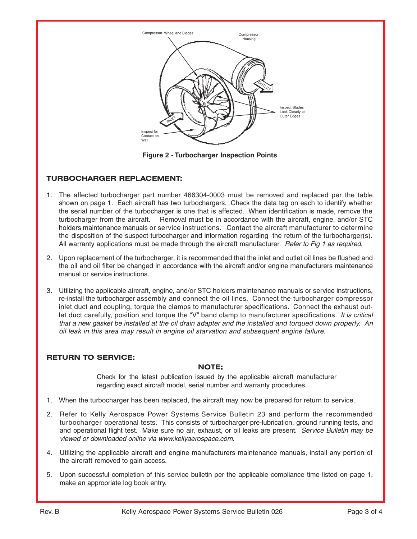

**Figure 2 - Turbocharger Inspection Points**

#### **TURBOCHARGER REPLACEMENT:**

- 1. The affected turbocharger part number 466304-0003 must be removed and replaced per the table shown on page 1. Each aircraft has two turbochargers. Check the data tag on each to identify whether the serial number of the turbocharger is one that is affected. When identification is made, remove the turbocharger from the aircraft. Removal must be in accordance with the aircraft, engine, and/or STC holders maintenance manuals or service instructions. Contact the aircraft manufacturer to determine the disposition of the suspect turbocharger and information regarding the return of the turbocharger(s). All warranty applications must be made through the aircraft manufacturer. *Refer to Fig 1 as required.*
- 2. Upon replacement of the turbocharger, it is recommended that the inlet and outlet oil lines be flushed and the oil and oil filter be changed in accordance with the aircraft and/or engine manufacturers maintenance manual or service instructions.
- 3. Utilizing the applicable aircraft, engine, and/or STC holders maintenance manuals or service instructions, re-install the turbocharger assembly and connect the oil lines. Connect the turbocharger compressor inlet duct and coupling, torque the clamps to manufacturer specifications. Connect the exhaust outlet duct carefully, position and torque the "V" band clamp to manufacturer specifications. It is critical that a new gasket be installed at the oil drain adapter and the installed and torqued down properly. An oil leak in this area may result in engine oil starvation and subsequent engine failure.

#### **RETURN TO SERVICE:**

#### **NOTE:**

Check for the latest publication issued by the applicable aircraft manufacturer regarding exact aircraft model, serial number and warranty procedures.

- 1. When the turbocharger has been replaced, the aircraft may now be prepared for return to service.
- 2. Refer to Kelly Aerospace Power Systems Service Bulletin 23 and perform the recommended turbocharger operational tests. This consists of turbocharger pre-lubrication, ground running tests, and and operational flight test. Make sure no air, exhaust, or oil leaks are present. Service Bulletin may be viewed or downloaded online via www.kellyaerospace.com.
- 4. Utilizing the applicable aircraft and engine manufacturers maintenance manuals, install any portion of the aircraft removed to gain access.
- 5. Upon successful completion of this service bulletin per the applicable compliance time listed on page 1, make an appropriate log book entry.